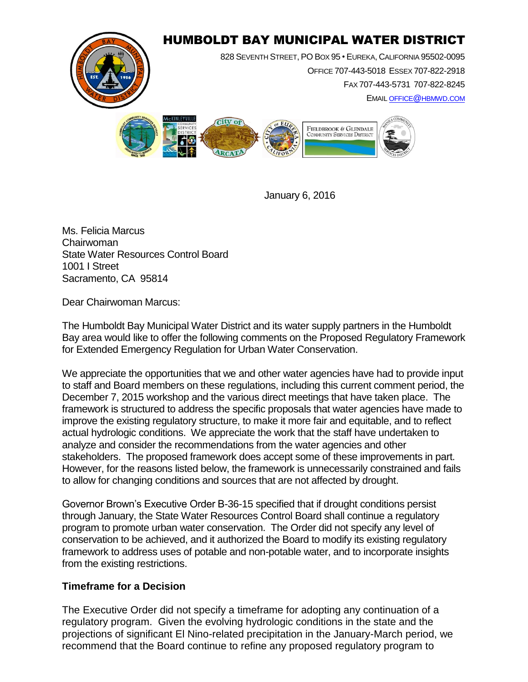

January 6, 2016

Ms. Felicia Marcus Chairwoman State Water Resources Control Board 1001 I Street Sacramento, CA 95814

Dear Chairwoman Marcus:

The Humboldt Bay Municipal Water District and its water supply partners in the Humboldt Bay area would like to offer the following comments on the Proposed Regulatory Framework for Extended Emergency Regulation for Urban Water Conservation.

We appreciate the opportunities that we and other water agencies have had to provide input to staff and Board members on these regulations, including this current comment period, the December 7, 2015 workshop and the various direct meetings that have taken place. The framework is structured to address the specific proposals that water agencies have made to improve the existing regulatory structure, to make it more fair and equitable, and to reflect actual hydrologic conditions. We appreciate the work that the staff have undertaken to analyze and consider the recommendations from the water agencies and other stakeholders. The proposed framework does accept some of these improvements in part. However, for the reasons listed below, the framework is unnecessarily constrained and fails to allow for changing conditions and sources that are not affected by drought.

Governor Brown's Executive Order B-36-15 specified that if drought conditions persist through January, the State Water Resources Control Board shall continue a regulatory program to promote urban water conservation. The Order did not specify any level of conservation to be achieved, and it authorized the Board to modify its existing regulatory framework to address uses of potable and non-potable water, and to incorporate insights from the existing restrictions.

## **Timeframe for a Decision**

The Executive Order did not specify a timeframe for adopting any continuation of a regulatory program. Given the evolving hydrologic conditions in the state and the projections of significant El Nino-related precipitation in the January-March period, we recommend that the Board continue to refine any proposed regulatory program to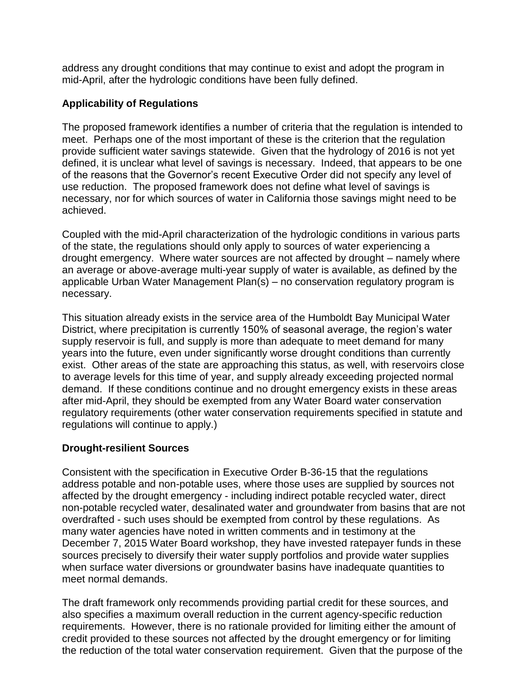address any drought conditions that may continue to exist and adopt the program in mid-April, after the hydrologic conditions have been fully defined.

## **Applicability of Regulations**

The proposed framework identifies a number of criteria that the regulation is intended to meet. Perhaps one of the most important of these is the criterion that the regulation provide sufficient water savings statewide. Given that the hydrology of 2016 is not yet defined, it is unclear what level of savings is necessary. Indeed, that appears to be one of the reasons that the Governor's recent Executive Order did not specify any level of use reduction. The proposed framework does not define what level of savings is necessary, nor for which sources of water in California those savings might need to be achieved.

Coupled with the mid-April characterization of the hydrologic conditions in various parts of the state, the regulations should only apply to sources of water experiencing a drought emergency. Where water sources are not affected by drought – namely where an average or above-average multi-year supply of water is available, as defined by the applicable Urban Water Management Plan(s) – no conservation regulatory program is necessary.

This situation already exists in the service area of the Humboldt Bay Municipal Water District, where precipitation is currently 150% of seasonal average, the region's water supply reservoir is full, and supply is more than adequate to meet demand for many years into the future, even under significantly worse drought conditions than currently exist. Other areas of the state are approaching this status, as well, with reservoirs close to average levels for this time of year, and supply already exceeding projected normal demand. If these conditions continue and no drought emergency exists in these areas after mid-April, they should be exempted from any Water Board water conservation regulatory requirements (other water conservation requirements specified in statute and regulations will continue to apply.)

## **Drought-resilient Sources**

Consistent with the specification in Executive Order B-36-15 that the regulations address potable and non-potable uses, where those uses are supplied by sources not affected by the drought emergency - including indirect potable recycled water, direct non-potable recycled water, desalinated water and groundwater from basins that are not overdrafted - such uses should be exempted from control by these regulations. As many water agencies have noted in written comments and in testimony at the December 7, 2015 Water Board workshop, they have invested ratepayer funds in these sources precisely to diversify their water supply portfolios and provide water supplies when surface water diversions or groundwater basins have inadequate quantities to meet normal demands.

The draft framework only recommends providing partial credit for these sources, and also specifies a maximum overall reduction in the current agency-specific reduction requirements. However, there is no rationale provided for limiting either the amount of credit provided to these sources not affected by the drought emergency or for limiting the reduction of the total water conservation requirement. Given that the purpose of the